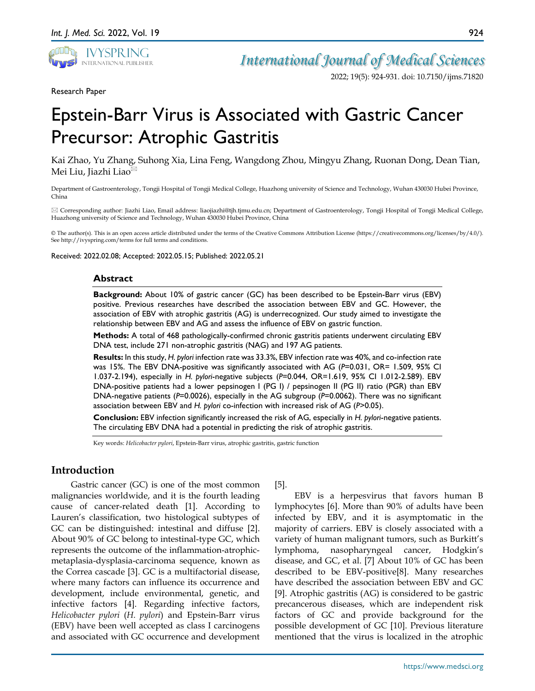

*International Journal of Medical Sciences*

2022; 19(5): 924-931. doi: 10.7150/ijms.71820

Research Paper

# Epstein-Barr Virus is Associated with Gastric Cancer Precursor: Atrophic Gastritis

Kai Zhao, Yu Zhang, Suhong Xia, Lina Feng, Wangdong Zhou, Mingyu Zhang, Ruonan Dong, Dean Tian, Mei Liu, Jiazhi Liao<sup>⊠</sup>

Department of Gastroenterology, Tongji Hospital of Tongji Medical College, Huazhong university of Science and Technology, Wuhan 430030 Hubei Province, China

 Corresponding author: Jiazhi Liao, Email address: liaojiazhi@tjh.tjmu.edu.cn; Department of Gastroenterology, Tongji Hospital of Tongji Medical College, Huazhong university of Science and Technology, Wuhan 430030 Hubei Province, China

© The author(s). This is an open access article distributed under the terms of the Creative Commons Attribution License (https://creativecommons.org/licenses/by/4.0/). See http://ivyspring.com/terms for full terms and conditions.

Received: 2022.02.08; Accepted: 2022.05.15; Published: 2022.05.21

#### **Abstract**

**Background:** About 10% of gastric cancer (GC) has been described to be Epstein-Barr virus (EBV) positive. Previous researches have described the association between EBV and GC. However, the association of EBV with atrophic gastritis (AG) is underrecognized. Our study aimed to investigate the relationship between EBV and AG and assess the influence of EBV on gastric function.

**Methods:** A total of 468 pathologically-confirmed chronic gastritis patients underwent circulating EBV DNA test, include 271 non-atrophic gastritis (NAG) and 197 AG patients.

**Results:** In this study, *H. pylori* infection rate was 33.3%, EBV infection rate was 40%, and co-infection rate was 15%. The EBV DNA-positive was significantly associated with AG ( $P=0.031$ , OR= 1.509, 95% CI 1.037-2.194), especially in *H. pylori*-negative subjects (*P*=0.044, OR=1.619, 95% CI 1.012-2.589). EBV DNA-positive patients had a lower pepsinogen I (PG I) / pepsinogen II (PG II) ratio (PGR) than EBV DNA-negative patients (*P*=0.0026), especially in the AG subgroup (*P*=0.0062). There was no significant association between EBV and *H. pylori* co-infection with increased risk of AG (*P*>0.05).

**Conclusion:** EBV infection significantly increased the risk of AG, especially in *H. pylori*-negative patients. The circulating EBV DNA had a potential in predicting the risk of atrophic gastritis.

Key words: *Helicobacter pylori*, Epstein-Barr virus, atrophic gastritis, gastric function

## **Introduction**

Gastric cancer (GC) is one of the most common malignancies worldwide, and it is the fourth leading cause of cancer-related death [1]. According to Lauren's classification, two histological subtypes of GC can be distinguished: intestinal and diffuse [2]. About 90% of GC belong to intestinal-type GC, which represents the outcome of the inflammation-atrophicmetaplasia-dysplasia-carcinoma sequence, known as the Correa cascade [3]. GC is a multifactorial disease, where many factors can influence its occurrence and development, include environmental, genetic, and infective factors [4]. Regarding infective factors, *Helicobacter pylori* (*H. pylori*) and Epstein-Barr virus (EBV) have been well accepted as class I carcinogens and associated with GC occurrence and development

[5].

EBV is a herpesvirus that favors human B lymphocytes [6]. More than 90% of adults have been infected by EBV, and it is asymptomatic in the majority of carriers. EBV is closely associated with a variety of human malignant tumors, such as Burkitt's lymphoma, nasopharyngeal cancer, Hodgkin's disease, and GC, et al. [7] About 10% of GC has been described to be EBV-positive[8]. Many researches have described the association between EBV and GC [9]. Atrophic gastritis (AG) is considered to be gastric precancerous diseases, which are independent risk factors of GC and provide background for the possible development of GC [10]. Previous literature mentioned that the virus is localized in the atrophic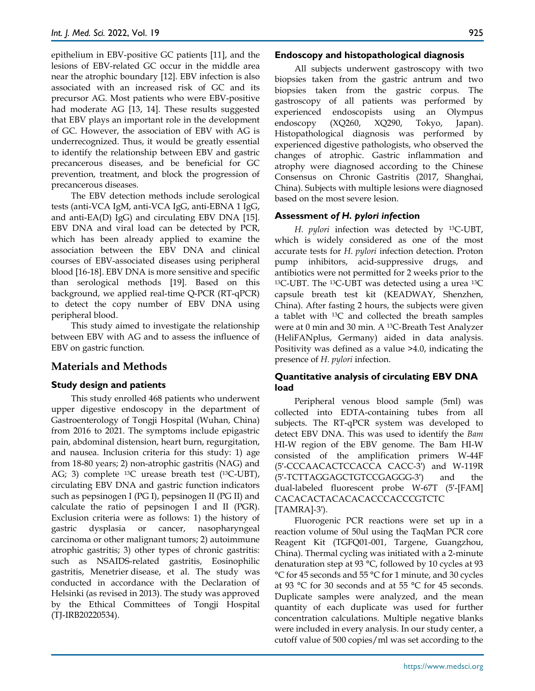epithelium in EBV-positive GC patients [11], and the lesions of EBV-related GC occur in the middle area near the atrophic boundary [12]. EBV infection is also associated with an increased risk of GC and its precursor AG. Most patients who were EBV-positive had moderate AG [13, 14]. These results suggested that EBV plays an important role in the development of GC. However, the association of EBV with AG is underrecognized. Thus, it would be greatly essential to identify the relationship between EBV and gastric precancerous diseases, and be beneficial for GC prevention, treatment, and block the progression of precancerous diseases.

The EBV detection methods include serological tests (anti-VCA IgM, anti-VCA IgG, anti-EBNA 1 IgG, and anti-EA(D) IgG) and circulating EBV DNA [15]. EBV DNA and viral load can be detected by PCR, which has been already applied to examine the association between the EBV DNA and clinical courses of EBV-associated diseases using peripheral blood [16-18]. EBV DNA is more sensitive and specific than serological methods [19]. Based on this background, we applied real-time Q-PCR (RT-qPCR) to detect the copy number of EBV DNA using peripheral blood.

This study aimed to investigate the relationship between EBV with AG and to assess the influence of EBV on gastric function.

## **Materials and Methods**

## **Study design and patients**

This study enrolled 468 patients who underwent upper digestive endoscopy in the department of Gastroenterology of Tongji Hospital (Wuhan, China) from 2016 to 2021. The symptoms include epigastric pain, abdominal distension, heart burn, regurgitation, and nausea. Inclusion criteria for this study: 1) age from 18-80 years; 2) non-atrophic gastritis (NAG) and AG; 3) complete 13C urease breath test (13C-UBT), circulating EBV DNA and gastric function indicators such as pepsinogen I (PG I), pepsinogen II (PG II) and calculate the ratio of pepsinogen I and II (PGR). Exclusion criteria were as follows: 1) the history of gastric dysplasia or cancer, nasopharyngeal carcinoma or other malignant tumors; 2) autoimmune atrophic gastritis; 3) other types of chronic gastritis: such as NSAIDS-related gastritis, Eosinophilic gastritis, Menetrier disease, et al. The study was conducted in accordance with the Declaration of Helsinki (as revised in 2013). The study was approved by the Ethical Committees of Tongji Hospital (TJ-IRB20220534).

## **Endoscopy and histopathological diagnosis**

All subjects underwent gastroscopy with two biopsies taken from the gastric antrum and two biopsies taken from the gastric corpus. The gastroscopy of all patients was performed by experienced endoscopists using an Olympus endoscopy (XQ260, XQ290, Tokyo, Japan). Histopathological diagnosis was performed by experienced digestive pathologists, who observed the changes of atrophic. Gastric inflammation and atrophy were diagnosed according to the Chinese Consensus on Chronic Gastritis (2017, Shanghai, China). Subjects with multiple lesions were diagnosed based on the most severe lesion.

## **Assessment** *of H. pylori infe***ction**

*H. pylori* infection was detected by 13C-UBT, which is widely considered as one of the most accurate tests for *H. pylori* infection detection. Proton pump inhibitors, acid-suppressive drugs, and antibiotics were not permitted for 2 weeks prior to the 13C-UBT. The 13C-UBT was detected using a urea 13C capsule breath test kit (KEADWAY, Shenzhen, China). After fasting 2 hours, the subjects were given a tablet with 13C and collected the breath samples were at 0 min and 30 min. A 13C-Breath Test Analyzer (HeliFANplus, Germany) aided in data analysis. Positivity was defined as a value >4.0, indicating the presence of *H. pylori* infection.

## **Quantitative analysis of circulating EBV DNA load**

Peripheral venous blood sample (5ml) was collected into EDTA-containing tubes from all subjects. The RT-qPCR system was developed to detect EBV DNA. This was used to identify the *Bam* HI-W region of the EBV genome. The Bam HI-W consisted of the amplification primers W-44F (5′-CCCAACACTCCACCA CACC-3′) and W-119R (5′-TCTTAGGAGCTGTCCGAGGG-3′) and the dual-labeled fluorescent probe W-67T (5′-[FAM] CACACACTACACACACCCACCCGTCTC [TAMRA]-3′).

Fluorogenic PCR reactions were set up in a reaction volume of 50ul using the TaqMan PCR core Reagent Kit (TGFQ01-001, Targene, Guangzhou, China). Thermal cycling was initiated with a 2-minute denaturation step at 93 °C, followed by 10 cycles at 93 °C for 45 seconds and 55 °C for 1 minute, and 30 cycles at 93 °C for 30 seconds and at 55 °C for 45 seconds. Duplicate samples were analyzed, and the mean quantity of each duplicate was used for further concentration calculations. Multiple negative blanks were included in every analysis. In our study center, a cutoff value of 500 copies/ml was set according to the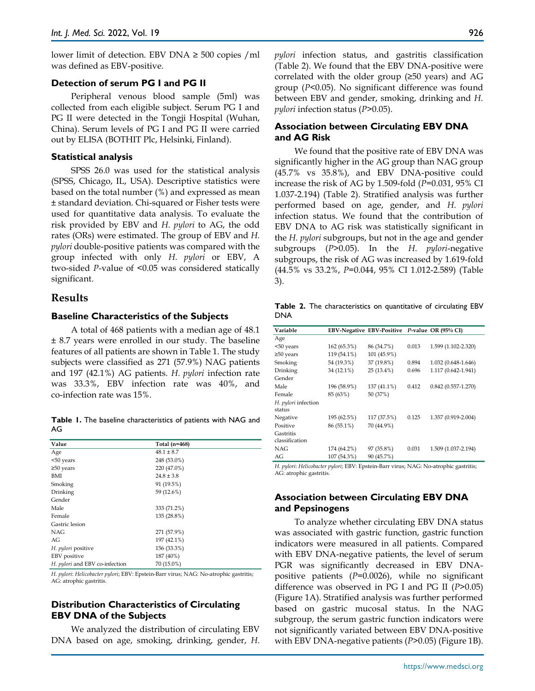lower limit of detection. EBV DNA  $\geq$  500 copies /ml was defined as EBV-positive.

#### **Detection of serum PG I and PG II**

Peripheral venous blood sample (5ml) was collected from each eligible subject. Serum PG I and PG II were detected in the Tongji Hospital (Wuhan, China). Serum levels of PG I and PG II were carried out by ELISA (BOTHIT Plc, Helsinki, Finland).

#### **Statistical analysis**

SPSS 26.0 was used for the statistical analysis (SPSS, Chicago, IL, USA). Descriptive statistics were based on the total number (%) and expressed as mean ± standard deviation. Chi-squared or Fisher tests were used for quantitative data analysis. To evaluate the risk provided by EBV and *H. pylori* to AG, the odd rates (ORs) were estimated. The group of EBV and *H. pylori* double-positive patients was compared with the group infected with only *H. pylori* or EBV, A two-sided *P*-value of <0.05 was considered statically significant.

#### **Results**

#### **Baseline Characteristics of the Subjects**

A total of 468 patients with a median age of 48.1 ± 8.7 years were enrolled in our study. The baseline features of all patients are shown in Table 1. The study subjects were classified as 271 (57.9%) NAG patients and 197 (42.1%) AG patients. *H. pylori* infection rate was 33.3%, EBV infection rate was 40%, and co-infection rate was 15%.

**Table 1.** The baseline characteristics of patients with NAG and AG

| Value                          | Total (n=468)  |
|--------------------------------|----------------|
| Age                            | $48.1 \pm 8.7$ |
| <50 years                      | 248 (53.0%)    |
| $\geq$ 50 years                | 220 (47.0%)    |
| BMI                            | $24.8 \pm 3.8$ |
| Smoking                        | 91 (19.5%)     |
| Drinking                       | 59 (12.6%)     |
| Gender                         |                |
| Male                           | 333 (71.2%)    |
| Female                         | 135 (28.8%)    |
| Gastric lesion                 |                |
| NAG                            | 271 (57.9%)    |
| AG                             | 197 (42.1%)    |
| H. pylori positive             | 156 (33.3%)    |
| EBV positive                   | 187 (40%)      |
| H. pylori and EBV co-infection | 70 (15.0%)     |

*H. pylori*: *Helicobacter pylori*; EBV: Epstein-Barr virus; NAG: No-atrophic gastritis; AG: atrophic gastritis.

## **Distribution Characteristics of Circulating EBV DNA of the Subjects**

We analyzed the distribution of circulating EBV DNA based on age, smoking, drinking, gender, *H.*  *pylori* infection status, and gastritis classification (Table 2). We found that the EBV DNA-positive were correlated with the older group (≥50 years) and AG group (*P*<0.05). No significant difference was found between EBV and gender, smoking, drinking and *H. pylori* infection status (*P*>0.05).

### **Association between Circulating EBV DNA and AG Risk**

We found that the positive rate of EBV DNA was significantly higher in the AG group than NAG group (45.7% vs 35.8%), and EBV DNA-positive could increase the risk of AG by 1.509-fold (*P*=0.031, 95% CI 1.037-2.194) (Table 2). Stratified analysis was further performed based on age, gender, and *H. pylori* infection status. We found that the contribution of EBV DNA to AG risk was statistically significant in the *H. pylori* subgroups, but not in the age and gender subgroups (*P*>0.05). In the *H. pylori*-negative subgroups, the risk of AG was increased by 1.619-fold (44.5% vs 33.2%, *P*=0.044, 95% CI 1.012-2.589) (Table 3).

**Table 2.** The characteristics on quantitative of circulating EBV DNA

| Variable            |             | EBV-Negative EBV-Positive P-value OR (95% CI) |       |                        |
|---------------------|-------------|-----------------------------------------------|-------|------------------------|
| Age                 |             |                                               |       |                        |
| <50 years           | 162 (65.3%) | 86 (34.7%)                                    | 0.013 | 1.599 (1.102-2.320)    |
| $\geq$ 50 years     | 119 (54.1%) | 101 (45.9%)                                   |       |                        |
| Smoking             | 54 (19.3%)  | 37 (19.8%)                                    | 0.894 | 1.032 (0.648-1.646)    |
| Drinking            | 34 (12.1%)  | $25(13.4\%)$                                  | 0.696 | 1.117 (0.642-1.941)    |
| Gender              |             |                                               |       |                        |
| Male                | 196 (58.9%) | 137 (41.1%)                                   | 0.412 | $0.842(0.557 - 1.270)$ |
| Female              | 85 (63%)    | 50 (37%)                                      |       |                        |
| H. pylori infection |             |                                               |       |                        |
| status              |             |                                               |       |                        |
| Negative            | 195 (62.5%) | 117 (37.5%)                                   | 0.125 | 1.357 (0.919-2.004)    |
| Positive            | 86 (55.1%)  | 70 (44.9%)                                    |       |                        |
| Gastritis           |             |                                               |       |                        |
| classification      |             |                                               |       |                        |
| <b>NAG</b>          | 174 (64.2%) | 97 (35.8%)                                    | 0.031 | 1.509 (1.037-2.194)    |
| AG                  | 107 (54.3%) | 90 (45.7%)                                    |       |                        |

*H. pylori*: *Helicobacter pylori*; EBV: Epstein-Barr virus; NAG: No-atrophic gastritis; AG: atrophic gastritis.

## **Association between Circulating EBV DNA and Pepsinogens**

To analyze whether circulating EBV DNA status was associated with gastric function, gastric function indicators were measured in all patients. Compared with EBV DNA-negative patients, the level of serum PGR was significantly decreased in EBV DNApositive patients (*P*=0.0026), while no significant difference was observed in PG I and PG II (*P*>0.05) (Figure 1A). Stratified analysis was further performed based on gastric mucosal status. In the NAG subgroup, the serum gastric function indicators were not significantly variated between EBV DNA-positive with EBV DNA-negative patients (*P*>0.05) (Figure 1B).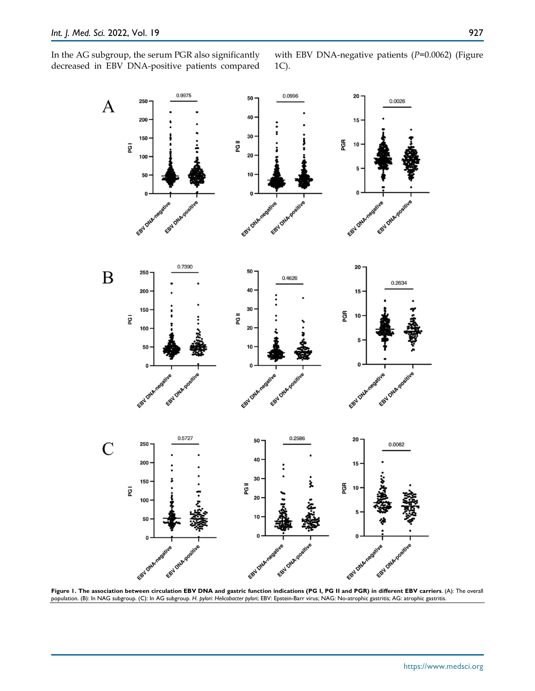In the AG subgroup, the serum PGR also significantly decreased in EBV DNA-positive patients compared

with EBV DNA-negative patients (*P*=0.0062) (Figure 1C).



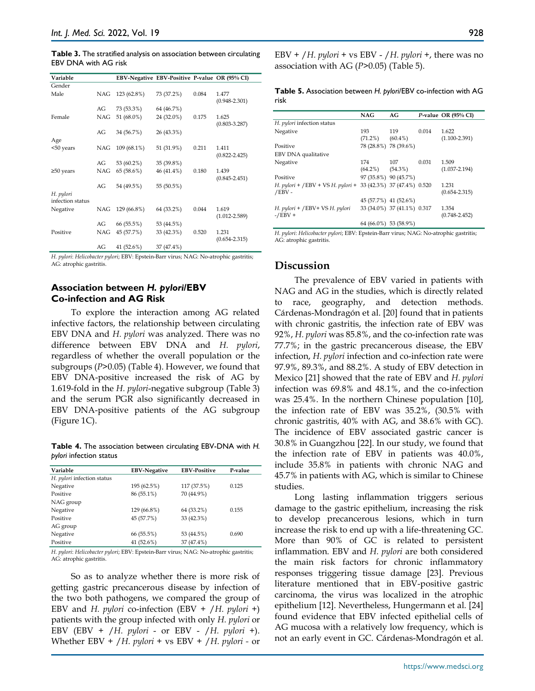**Table 3.** The stratified analysis on association between circulating EBV DNA with AG risk

| Variable         |            | EBV-Negative EBV-Positive P-value OR (95% CI) |            |       |                   |
|------------------|------------|-----------------------------------------------|------------|-------|-------------------|
| Gender           |            |                                               |            |       |                   |
| Male             | NAG        | 123 (62.8%)                                   | 73 (37.2%) | 0.084 | 1.477             |
|                  |            |                                               |            |       | $(0.948 - 2.301)$ |
|                  | AG         | 73 (53.3%)                                    | 64 (46.7%) |       |                   |
| Female           | <b>NAG</b> | 51 (68.0%)                                    | 24 (32.0%) | 0.175 | 1.625             |
|                  |            |                                               |            |       | $(0.803 - 3.287)$ |
|                  | AG         | 34 (56.7%)                                    | 26 (43.3%) |       |                   |
| Age              |            |                                               |            |       |                   |
| <50 years        | <b>NAG</b> | 109 (68.1%)                                   | 51 (31.9%) | 0.211 | 1.411             |
|                  |            |                                               |            |       | $(0.822 - 2.425)$ |
|                  | AG         | 53 (60.2%)                                    | 35 (39.8%) |       |                   |
| $\geq$ 50 years  | <b>NAG</b> | 65 (58.6%)                                    | 46 (41.4%) | 0.180 | 1.439             |
|                  |            |                                               |            |       | $(0.845 - 2.451)$ |
|                  | AG         | 54 (49.5%)                                    | 55 (50.5%) |       |                   |
| H. pylori        |            |                                               |            |       |                   |
| infection status |            |                                               |            |       |                   |
| Negative         | NAG        | 129 (66.8%)                                   | 64 (33.2%) | 0.044 | 1.619             |
|                  |            |                                               |            |       | $(1.012 - 2.589)$ |
|                  | AG         | 66 (55.5%)                                    | 53 (44.5%) |       |                   |
| Positive         | NAG        | 45 (57.7%)                                    | 33 (42.3%) | 0.520 | 1.231             |
|                  |            |                                               |            |       | $(0.654 - 2.315)$ |
|                  | AG         | 41 (52.6%)                                    | 37 (47.4%) |       |                   |

*H. pylori*: *Helicobacter pylori*; EBV: Epstein-Barr virus; NAG: No-atrophic gastritis; AG: atrophic gastritis.

## **Association between** *H. pylori***/EBV Co-infection and AG Risk**

To explore the interaction among AG related infective factors, the relationship between circulating EBV DNA and *H. pylori* was analyzed. There was no difference between EBV DNA and *H. pylori*, regardless of whether the overall population or the subgroups (*P*>0.05) (Table 4). However, we found that EBV DNA-positive increased the risk of AG by 1.619-fold in the *H. pylori*-negative subgroup (Table 3) and the serum PGR also significantly decreased in EBV DNA-positive patients of the AG subgroup (Figure 1C).

**Table 4.** The association between circulating EBV-DNA with *H. pylori* infection status

| Variable                   | <b>EBV-Negative</b> | <b>EBV-Positive</b> | P-value |
|----------------------------|---------------------|---------------------|---------|
| H. pylori infection status |                     |                     |         |
| Negative                   | 195 (62.5%)         | 117 (37.5%)         | 0.125   |
| Positive                   | 86 (55.1%)          | 70 (44.9%)          |         |
| NAG group                  |                     |                     |         |
| Negative                   | 129 (66.8%)         | 64 (33.2%)          | 0.155   |
| Positive                   | 45 (57.7%)          | 33 (42.3%)          |         |
| AG group                   |                     |                     |         |
| Negative                   | 66 (55.5%)          | 53 (44.5%)          | 0.690   |
| Positive                   | 41 (52.6%)          | 37 (47.4%)          |         |

*H. pylori*: *Helicobacter pylori*; EBV: Epstein-Barr virus; NAG: No-atrophic gastritis; AG: atrophic gastritis.

So as to analyze whether there is more risk of getting gastric precancerous disease by infection of the two both pathogens, we compared the group of EBV and *H. pylori* co-infection (EBV + /*H. pylori* +) patients with the group infected with only *H. pylori* or EBV (EBV + /*H. pylori* - or EBV - /*H. pylori* +). Whether EBV + /*H. pylori* + vs EBV + /*H. pylori -* or EBV + /*H. pylori* + vs EBV - /*H. pylori* +, there was no association with AG (*P*>0.05) (Table 5).

| <b>Table 5.</b> Association between H. pylori/EBV co-infection with AG |
|------------------------------------------------------------------------|
| risk                                                                   |

|                                                               | <b>NAG</b>            | AG                          |       | P-value OR $(95\%$ CI) |
|---------------------------------------------------------------|-----------------------|-----------------------------|-------|------------------------|
| H. pylori infection status                                    |                       |                             |       |                        |
| Negative                                                      | 193                   | 119                         | 0.014 | 1.622                  |
|                                                               | $(71.2\%)$ $(60.4\%)$ |                             |       | $(1.100 - 2.391)$      |
| Positive                                                      | 78 (28.8%) 78 (39.6%) |                             |       |                        |
| EBV DNA qualitative                                           |                       |                             |       |                        |
| Negative                                                      | 174                   | 107                         | 0.031 | 1.509                  |
|                                                               | $(64.2\%)$ $(54.3\%)$ |                             |       | $(1.037 - 2.194)$      |
| Positive                                                      | 97 (35.8%) 90 (45.7%) |                             |       |                        |
| H. pylori + /EBV + VS H. pylori + 33 (42.3%) 37 (47.4%) 0.520 |                       |                             |       | 1.231                  |
| $/EBV -$                                                      |                       |                             |       | $(0.654 - 2.315)$      |
|                                                               | 45 (57.7%) 41 (52.6%) |                             |       |                        |
| $H.$ pylori + /EBV + VS $H.$ pylori                           |                       | 33 (34.0%) 37 (41.1%) 0.317 |       | 1.354                  |
| $-$ /EBV +                                                    |                       |                             |       | $(0.748 - 2.452)$      |
|                                                               | 64 (66.0%) 53 (58.9%) |                             |       |                        |

*H. pylori*: *Helicobacter pylori*; EBV: Epstein-Barr virus; NAG: No-atrophic gastritis; AG: atrophic gastritis.

## **Discussion**

The prevalence of EBV varied in patients with NAG and AG in the studies, which is directly related to race, geography, and detection methods. Cárdenas-Mondragón et al. [20] found that in patients with chronic gastritis, the infection rate of EBV was 92%, *H. pylori* was 85.8%, and the co-infection rate was 77.7%; in the gastric precancerous disease, the EBV infection, *H. pylori* infection and co-infection rate were 97.9%, 89.3%, and 88.2%. A study of EBV detection in Mexico [21] showed that the rate of EBV and *H. pylori* infection was 69.8% and 48.1%, and the co-infection was 25.4%. In the northern Chinese population [10], the infection rate of EBV was 35.2%, (30.5% with chronic gastritis, 40% with AG, and 38.6% with GC). The incidence of EBV associated gastric cancer is 30.8% in Guangzhou [22]. In our study, we found that the infection rate of EBV in patients was 40.0%, include 35.8% in patients with chronic NAG and 45.7% in patients with AG, which is similar to Chinese studies.

Long lasting inflammation triggers serious damage to the gastric epithelium, increasing the risk to develop precancerous lesions, which in turn increase the risk to end up with a life-threatening GC. More than 90% of GC is related to persistent inflammation. EBV and *H. pylori* are both considered the main risk factors for chronic inflammatory responses triggering tissue damage [23]. Previous literature mentioned that in EBV-positive gastric carcinoma, the virus was localized in the atrophic epithelium [12]. Nevertheless, Hungermann et al. [24] found evidence that EBV infected epithelial cells of AG mucosa with a relatively low frequency, which is not an early event in GC. Cárdenas-Mondragón et al.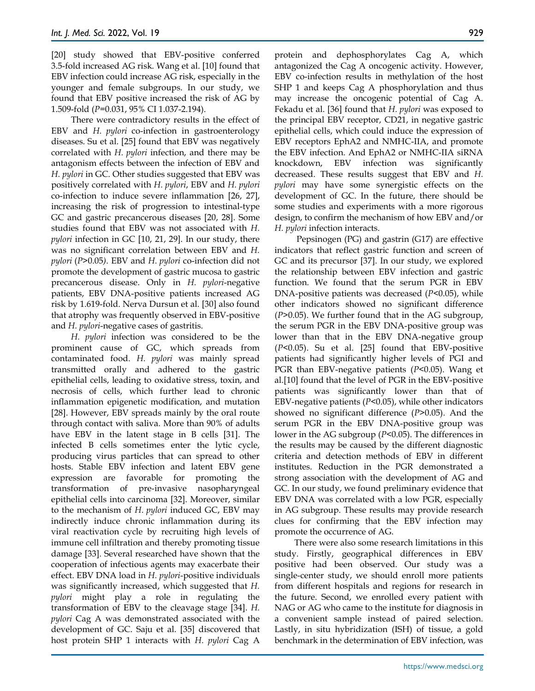[20] study showed that EBV-positive conferred 3.5-fold increased AG risk. Wang et al. [10] found that EBV infection could increase AG risk, especially in the younger and female subgroups. In our study, we found that EBV positive increased the risk of AG by 1.509-fold (*P*=0.031, 95% CI 1.037-2.194).

There were contradictory results in the effect of EBV and *H. pylori* co-infection in gastroenterology diseases. Su et al. [25] found that EBV was negatively correlated with *H. pylori* infection, and there may be antagonism effects between the infection of EBV and *H. pylori* in GC. Other studies suggested that EBV was positively correlated with *H. pylori*, EBV and *H. pylori* co-infection to induce severe inflammation [26, 27], increasing the risk of progression to intestinal-type GC and gastric precancerous diseases [20, 28]. Some studies found that EBV was not associated with *H. pylori* infection in GC [10, 21, 29]. In our study, there was no significant correlation between EBV and *H. pylori* (*P*>0.05*)*. EBV and *H. pylori* co-infection did not promote the development of gastric mucosa to gastric precancerous disease. Only in *H. pylori*-negative patients, EBV DNA-positive patients increased AG risk by 1.619-fold. Nerva Dursun et al. [30] also found that atrophy was frequently observed in EBV-positive and *H. pylori*-negative cases of gastritis.

*H. pylori* infection was considered to be the prominent cause of GC, which spreads from contaminated food. *H. pylori* was mainly spread transmitted orally and adhered to the gastric epithelial cells, leading to oxidative stress, toxin, and necrosis of cells, which further lead to chronic inflammation epigenetic modification, and mutation [28]. However, EBV spreads mainly by the oral route through contact with saliva. More than 90% of adults have EBV in the latent stage in B cells [31]. The infected B cells sometimes enter the lytic cycle, producing virus particles that can spread to other hosts. Stable EBV infection and latent EBV gene expression are favorable for promoting the transformation of pre-invasive nasopharyngeal epithelial cells into carcinoma [32]. Moreover, similar to the mechanism of *H. pylori* induced GC, EBV may indirectly induce chronic inflammation during its viral reactivation cycle by recruiting high levels of immune cell infiltration and thereby promoting tissue damage [33]. Several researched have shown that the cooperation of infectious agents may exacerbate their effect. EBV DNA load in *H. pylori*-positive individuals was significantly increased, which suggested that *H. pylori* might play a role in regulating the transformation of EBV to the cleavage stage [34]. *H. pylori* Cag A was demonstrated associated with the development of GC. Saju et al. [35] discovered that host protein SHP 1 interacts with *H. pylori* Cag A

protein and dephosphorylates Cag A, which antagonized the Cag A oncogenic activity. However, EBV co-infection results in methylation of the host SHP 1 and keeps Cag A phosphorylation and thus may increase the oncogenic potential of Cag A. Fekadu et al. [36] found that *H. pylori* was exposed to the principal EBV receptor, CD21, in negative gastric epithelial cells, which could induce the expression of EBV receptors EphA2 and NMHC-IIA, and promote the EBV infection. And EphA2 or NMHC-IIA siRNA knockdown, EBV infection was significantly decreased. These results suggest that EBV and *H. pylori* may have some synergistic effects on the development of GC. In the future, there should be some studies and experiments with a more rigorous design, to confirm the mechanism of how EBV and/or *H. pylori* infection interacts.

Pepsinogen (PG) and gastrin (G17) are effective indicators that reflect gastric function and screen of GC and its precursor [37]. In our study, we explored the relationship between EBV infection and gastric function. We found that the serum PGR in EBV DNA-positive patients was decreased (*P*<0.05), while other indicators showed no significant difference (*P*>0.05). We further found that in the AG subgroup, the serum PGR in the EBV DNA-positive group was lower than that in the EBV DNA-negative group (*P*<0.05). Su et al. [25] found that EBV-positive patients had significantly higher levels of PGI and PGR than EBV-negative patients (*P*<0.05). Wang et al.[10] found that the level of PGR in the EBV-positive patients was significantly lower than that of EBV-negative patients (*P*<0.05), while other indicators showed no significant difference (*P*>0.05). And the serum PGR in the EBV DNA-positive group was lower in the AG subgroup (*P*<0.05). The differences in the results may be caused by the different diagnostic criteria and detection methods of EBV in different institutes. Reduction in the PGR demonstrated a strong association with the development of AG and GC. In our study, we found preliminary evidence that EBV DNA was correlated with a low PGR, especially in AG subgroup. These results may provide research clues for confirming that the EBV infection may promote the occurrence of AG.

There were also some research limitations in this study. Firstly, geographical differences in EBV positive had been observed. Our study was a single-center study, we should enroll more patients from different hospitals and regions for research in the future. Second, we enrolled every patient with NAG or AG who came to the institute for diagnosis in a convenient sample instead of paired selection. Lastly, in situ hybridization (ISH) of tissue, a gold benchmark in the determination of EBV infection, was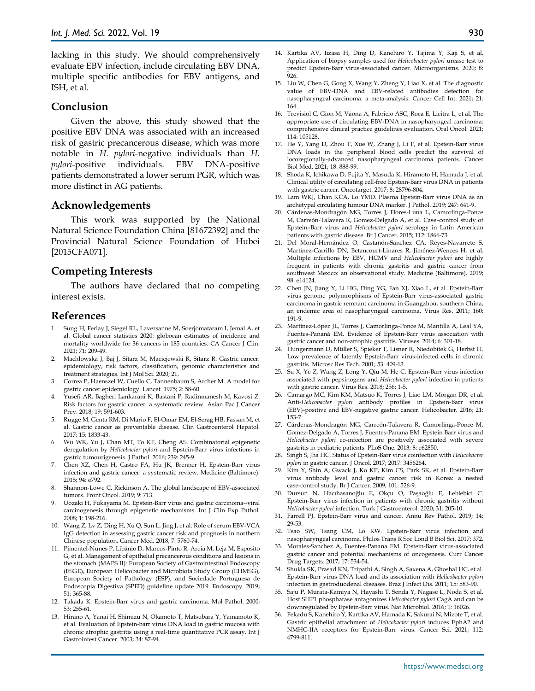lacking in this study. We should comprehensively evaluate EBV infection, include circulating EBV DNA, multiple specific antibodies for EBV antigens, and ISH, et al.

## **Conclusion**

Given the above, this study showed that the positive EBV DNA was associated with an increased risk of gastric precancerous disease, which was more notable in *H. pylori*-negative individuals than *H. pylori*-positive individuals. EBV DNA-positive patients demonstrated a lower serum PGR, which was more distinct in AG patients.

## **Acknowledgements**

This work was supported by the National Natural Science Foundation China [81672392] and the Provincial Natural Science Foundation of Hubei [2015CFA071].

## **Competing Interests**

The authors have declared that no competing interest exists.

## **References**

- 1. Sung H, Ferlay J, Siegel RL, Laversanne M, Soerjomataram I, Jemal A, et al. Global cancer statistics 2020: globocan estimates of incidence and mortality worldwide for 36 cancers in 185 countries. CA Cancer J Clin. 2021; 71: 209-49.
- 2. Machlowska J, Baj J, Sitarz M, Maciejewski R, Sitarz R. Gastric cancer: epidemiology, risk factors, classification, genomic characteristics and treatment strategies. Int J Mol Sci. 2020; 21.
- 3. Correa P, Haenszel W, Cuello C, Tannenbaum S, Archer M. A model for gastric cancer epidemiology. Lancet. 1975; 2: 58-60.
- 4. Yusefi AR, Bagheri Lankarani K, Bastani P, Radinmanesh M, Kavosi Z. Risk factors for gastric cancer: a systematic review. Asian Pac J Cancer Prev. 2018; 19: 591-603.
- 5. Rugge M, Genta RM, Di Mario F, El-Omar EM, El-Serag HB, Fassan M, et al. Gastric cancer as preventable disease. Clin Gastroenterol Hepatol. 2017; 15: 1833-43.
- 6. Wu WK, Yu J, Chan MT, To KF, Cheng AS. Combinatorial epigenetic deregulation by *Helicobacter pylori* and Epstein-Barr virus infections in gastric tumourigenesis. J Pathol. 2016; 239: 245-9.
- 7. Chen XZ, Chen H, Castro FA, Hu JK, Brenner H. Epstein-Barr virus infection and gastric cancer: a systematic review. Medicine (Baltimore). 2015; 94: e792.
- 8. Shannon-Lowe C, Rickinson A. The global landscape of EBV-associated tumors. Front Oncol. 2019; 9: 713.
- 9. Uozaki H, Fukayama M. Epstein-Barr virus and gastric carcinoma--viral carcinogenesis through epigenetic mechanisms. Int J Clin Exp Pathol. 2008; 1: 198-216.
- 10. Wang Z, Lv Z, Ding H, Xu Q, Sun L, Jing J, et al. Role of serum EBV-VCA IgG detection in assessing gastric cancer risk and prognosis in northern Chinese population. Cancer Med. 2018; 7: 5760-74.
- 11. Pimentel-Nunes P, Libânio D, Marcos-Pinto R, Areia M, Leja M, Esposito G, et al. Management of epithelial precancerous conditions and lesions in the stomach (MAPS II): European Society of Gastrointestinal Endoscopy (ESGE), European Helicobacter and Microbiota Study Group (EHMSG), European Society of Pathology (ESP), and Sociedade Portuguesa de Endoscopia Digestiva (SPED) guideline update 2019. Endoscopy. 2019; 51: 365-88.
- 12. Takada K. Epstein-Barr virus and gastric carcinoma. Mol Pathol. 2000; 53: 255-61.
- 13. Hirano A, Yanai H, Shimizu N, Okamoto T, Matsubara Y, Yamamoto K, et al. Evaluation of Epstein-barr virus DNA load in gastric mucosa with chronic atrophic gastritis using a real-time quantitative PCR assay. Int J Gastrointest Cancer. 2003; 34: 87-94.
- 14. Kartika AV, Iizasa H, Ding D, Kanehiro Y, Tajima Y, Kaji S, et al. Application of biopsy samples used for *Helicobacter pylori* urease test to predict Epstein-Barr virus-associated cancer. Microorganisms. 2020; 8:  $926$
- 15. Liu W, Chen G, Gong X, Wang Y, Zheng Y, Liao X, et al. The diagnostic value of EBV-DNA and EBV-related antibodies detection for nasopharyngeal carcinoma: a meta-analysis. Cancer Cell Int. 2021; 21: 164.
- 16. Trevisiol C, Gion M, Vaona A, Fabricio ASC, Roca E, Licitra L, et al. The appropriate use of circulating EBV-DNA in nasopharyngeal carcinoma: comprehensive clinical practice guidelines evaluation. Oral Oncol. 2021; 114: 105128.
- 17. He Y, Yang D, Zhou T, Xue W, Zhang J, Li F, et al. Epstein-Barr virus DNA loads in the peripheral blood cells predict the survival of locoregionally-advanced nasopharyngeal carcinoma patients. Cancer Biol Med. 2021; 18: 888-99.
- 18. Shoda K, Ichikawa D, Fujita Y, Masuda K, Hiramoto H, Hamada J, et al. Clinical utility of circulating cell-free Epstein-Barr virus DNA in patients with gastric cancer. Oncotarget. 2017; 8: 28796-804.
- 19. Lam WKJ, Chan KCA, Lo YMD. Plasma Epstein-Barr virus DNA as an archetypal circulating tumour DNA marker. J Pathol. 2019; 247: 641-9.
- 20. Cárdenas-Mondragón MG, Torres J, Flores-Luna L, Camorlinga-Ponce M, Carreón-Talavera R, Gomez-Delgado A, et al. Case–control study of Epstein–Barr virus and *Helicobacter pylori* serology in Latin American patients with gastric disease. Br J Cancer. 2015; 112: 1866-73.
- 21. Del Moral-Hernández O, Castañón-Sánchez CA, Reyes-Navarrete S, Martínez-Carrillo DN, Betancourt-Linares R, Jiménez-Wences H, et al. Multiple infections by EBV, HCMV and *Helicobacter pylori* are highly frequent in patients with chronic gastritis and gastric cancer from southwest Mexico: an observational study. Medicine (Baltimore). 2019; 98: e14124.
- 22. Chen JN, Jiang Y, Li HG, Ding YG, Fan XJ, Xiao L, et al. Epstein-Barr virus genome polymorphisms of Epstein-Barr virus-associated gastric carcinoma in gastric remnant carcinoma in Guangzhou, southern China, an endemic area of nasopharyngeal carcinoma. Virus Res. 2011; 160: 191-9.
- 23. Martínez-López JL, Torres J, Camorlinga-Ponce M, Mantilla A, Leal YA, Fuentes-Pananá EM. Evidence of Epstein-Barr virus association with gastric cancer and non-atrophic gastritis. Viruses. 2014; 6: 301-18.
- 24. Hungermann D, Müller S, Spieker T, Lisner R, Niedobitek G, Herbst H. Low prevalence of latently Epstein-Barr virus-infected cells in chronic gastritis. Microsc Res Tech. 2001; 53: 409-13.
- 25. Su X, Ye Z, Wang Z, Long Y, Qiu M, He C. Epstein-Barr virus infection associated with pepsinogens and *Helicobacter pylori* infection in patients with gastric cancer. Virus Res. 2018; 256: 1-5.
- 26. Camargo MC, Kim KM, Matsuo K, Torres J, Liao LM, Morgan DR, et al. Anti-*Helicobacter pylori* antibody profiles in Epstein-Barr virus (EBV)-positive and EBV-negative gastric cancer. Helicobacter. 2016; 21: 153-7.
- 27. Cárdenas-Mondragón MG, Carreón-Talavera R, Camorlinga-Ponce M, Gomez-Delgado A, Torres J, Fuentes-Pananá EM. Epstein Barr virus and *Helicobacter pylori* co-infection are positively associated with severe gastritis in pediatric patients. PLoS One. 2013; 8: e62850.
- 28. Singh S, Jha HC. Status of Epstein-Barr virus coinfection with *Helicobacter pylori* in gastric cancer. J Oncol. 2017; 2017: 3456264.
- 29. Kim Y, Shin A, Gwack J, Ko KP, Kim CS, Park SK, et al. Epstein-Barr virus antibody level and gastric cancer risk in Korea: a nested case-control study. Br J Cancer. 2009; 101: 526-9.
- 30. Dursun N, Hacıhasanoğlu E, Okçu O, Paşaoğlu E, Leblebici C. Epstein-Barr virus infection in patients with chronic gastritis without *Helicobacter pylori* infection. Turk J Gastroenterol. 2020; 31: 205-10.
- 31. Farrell PJ. Epstein-Barr virus and cancer. Annu Rev Pathol. 2019; 14: 29-53.
- 32. Tsao SW, Tsang CM, Lo KW. Epstein-Barr virus infection and nasopharyngeal carcinoma. Philos Trans R Soc Lond B Biol Sci. 2017; 372.
- 33. Morales-Sanchez A, Fuentes-Panana EM. Epstein-Barr virus-associated gastric cancer and potential mechanisms of oncogenesis. Curr Cancer Drug Targets. 2017; 17: 534-54.
- 34. Shukla SK, Prasad KN, Tripathi A, Singh A, Saxena A, Ghoshal UC, et al. Epstein-Barr virus DNA load and its association with *Helicobacter pylori* infection in gastroduodenal diseases. Braz J Infect Dis. 2011; 15: 583-90.
- 35. Saju P, Murata-Kamiya N, Hayashi T, Senda Y, Nagase L, Noda S, et al. Host SHP1 phosphatase antagonizes *Helicobacter pylori* CagA and can be downregulated by Epstein-Barr virus. Nat Microbiol. 2016; 1: 16026.
- 36. Fekadu S, Kanehiro Y, Kartika AV, Hamada K, Sakurai N, Mizote T, et al. Gastric epithelial attachment of *Helicobacter pylori* induces EphA2 and NMHC-IIA receptors for Epstein-Barr virus. Cancer Sci. 2021; 112: 4799-811.